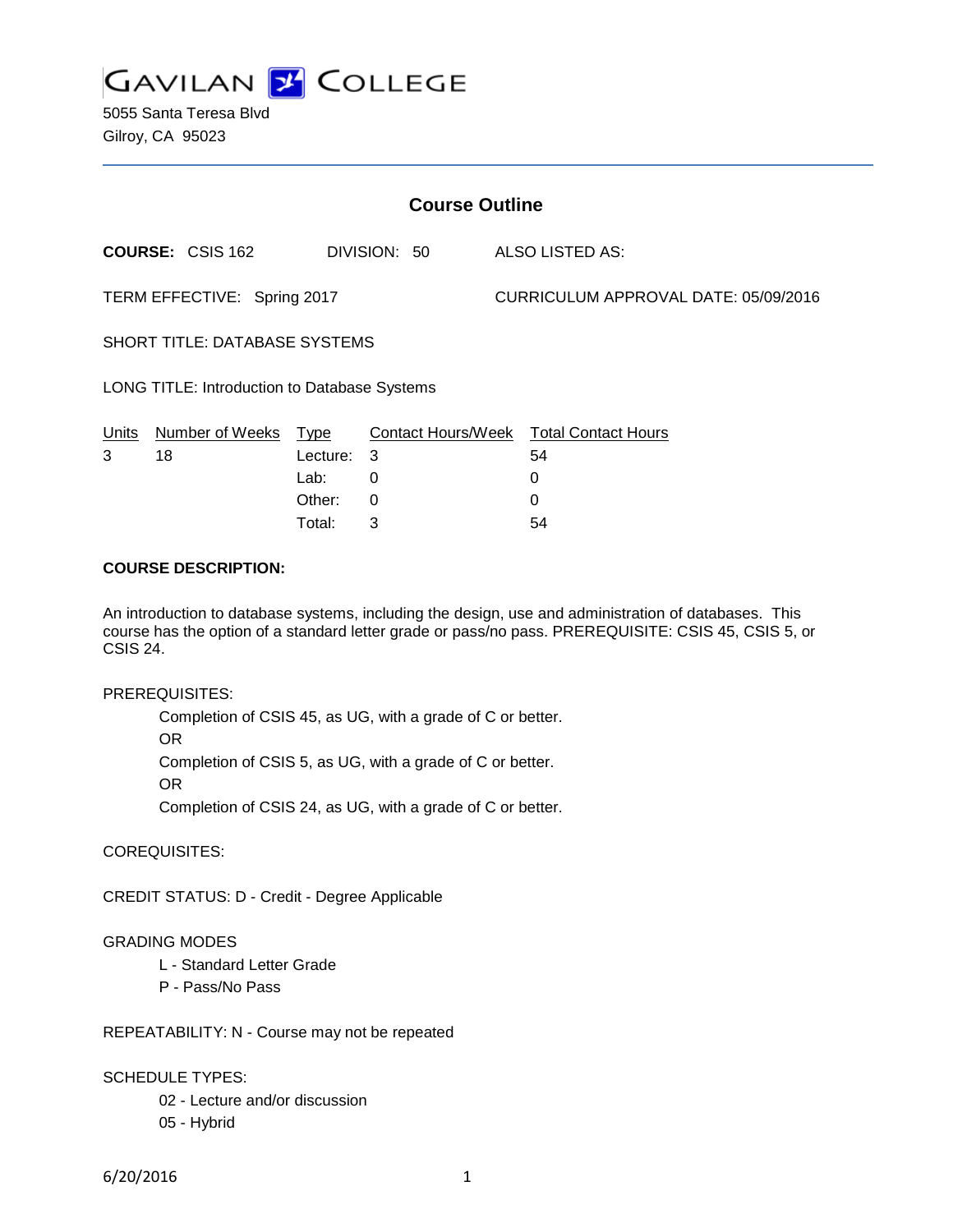

5055 Santa Teresa Blvd Gilroy, CA 95023

| <b>Course Outline</b>                        |                         |             |              |  |                                        |  |
|----------------------------------------------|-------------------------|-------------|--------------|--|----------------------------------------|--|
|                                              | <b>COURSE: CSIS 162</b> |             | DIVISION: 50 |  | ALSO LISTED AS:                        |  |
| TERM EFFECTIVE: Spring 2017                  |                         |             |              |  | CURRICULUM APPROVAL DATE: 05/09/2016   |  |
| <b>SHORT TITLE: DATABASE SYSTEMS</b>         |                         |             |              |  |                                        |  |
| LONG TITLE: Introduction to Database Systems |                         |             |              |  |                                        |  |
| Units                                        | Number of Weeks         | <u>Type</u> |              |  | Contact Hours/Week Total Contact Hours |  |
| 3                                            | 18                      | Lecture:    | 3            |  | 54                                     |  |
|                                              |                         | Lab:        | 0            |  | 0                                      |  |
|                                              |                         | Other:      | 0            |  | 0                                      |  |

### **COURSE DESCRIPTION:**

An introduction to database systems, including the design, use and administration of databases. This course has the option of a standard letter grade or pass/no pass. PREREQUISITE: CSIS 45, CSIS 5, or CSIS 24.

Total: 3 54

### PREREQUISITES:

Completion of CSIS 45, as UG, with a grade of C or better. OR Completion of CSIS 5, as UG, with a grade of C or better. OR Completion of CSIS 24, as UG, with a grade of C or better.

COREQUISITES:

CREDIT STATUS: D - Credit - Degree Applicable

### GRADING MODES

- L Standard Letter Grade
- P Pass/No Pass

REPEATABILITY: N - Course may not be repeated

SCHEDULE TYPES:

- 02 Lecture and/or discussion
- 05 Hybrid

6/20/2016 1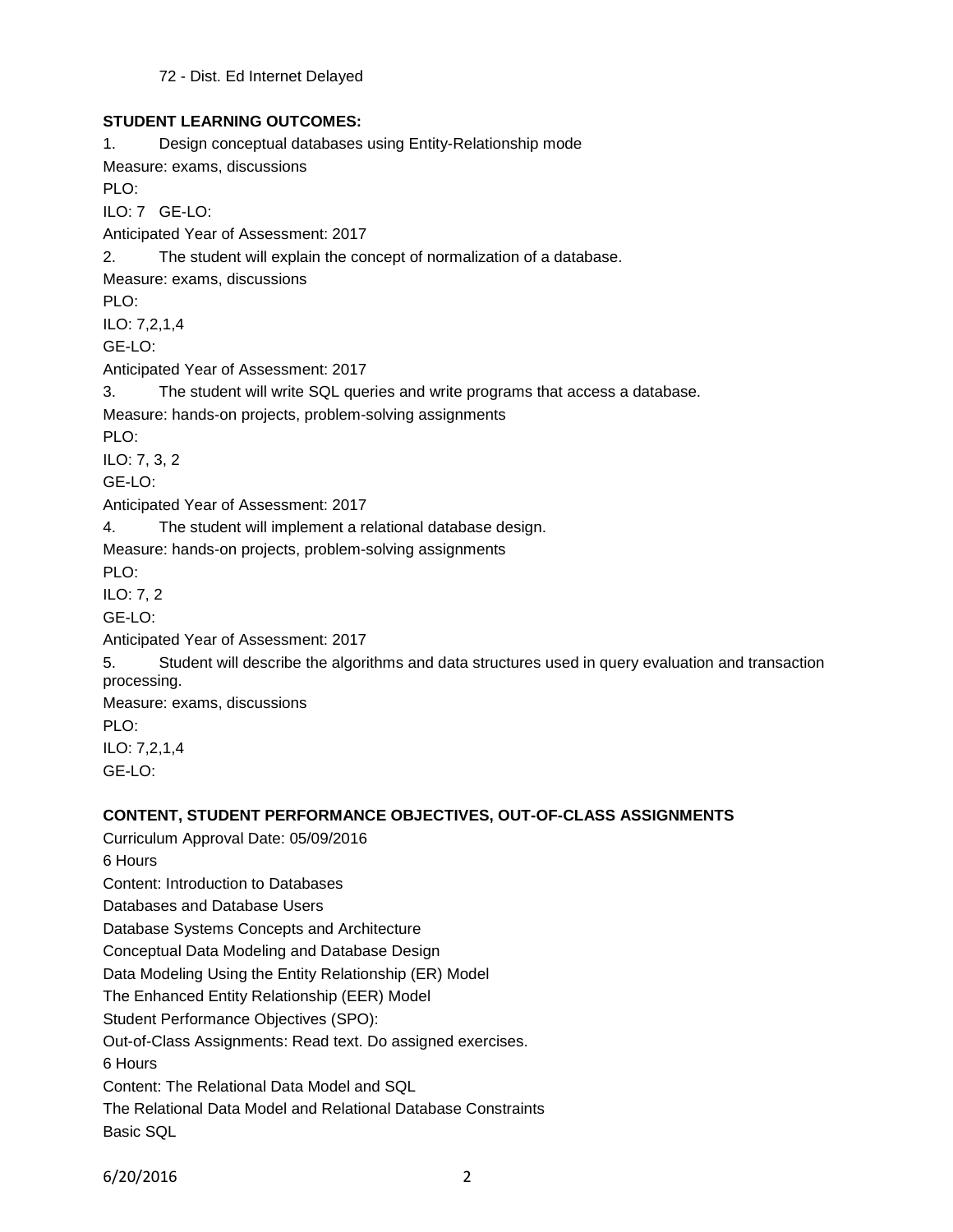## **STUDENT LEARNING OUTCOMES:**

1. Design conceptual databases using Entity-Relationship mode Measure: exams, discussions PLO: ILO: 7 GE-LO: Anticipated Year of Assessment: 2017 2. The student will explain the concept of normalization of a database. Measure: exams, discussions PLO: ILO: 7,2,1,4 GE-LO: Anticipated Year of Assessment: 2017 3. The student will write SQL queries and write programs that access a database. Measure: hands-on projects, problem-solving assignments PLO: ILO: 7, 3, 2 GE-LO: Anticipated Year of Assessment: 2017 4. The student will implement a relational database design. Measure: hands-on projects, problem-solving assignments PLO: ILO: 7, 2 GE-LO: Anticipated Year of Assessment: 2017 5. Student will describe the algorithms and data structures used in query evaluation and transaction processing. Measure: exams, discussions PLO: ILO: 7,2,1,4 GE-LO: **CONTENT, STUDENT PERFORMANCE OBJECTIVES, OUT-OF-CLASS ASSIGNMENTS**

Curriculum Approval Date: 05/09/2016 6 Hours Content: Introduction to Databases Databases and Database Users Database Systems Concepts and Architecture Conceptual Data Modeling and Database Design Data Modeling Using the Entity Relationship (ER) Model The Enhanced Entity Relationship (EER) Model Student Performance Objectives (SPO): Out-of-Class Assignments: Read text. Do assigned exercises. 6 Hours Content: The Relational Data Model and SQL The Relational Data Model and Relational Database Constraints Basic SQL

6/20/2016 2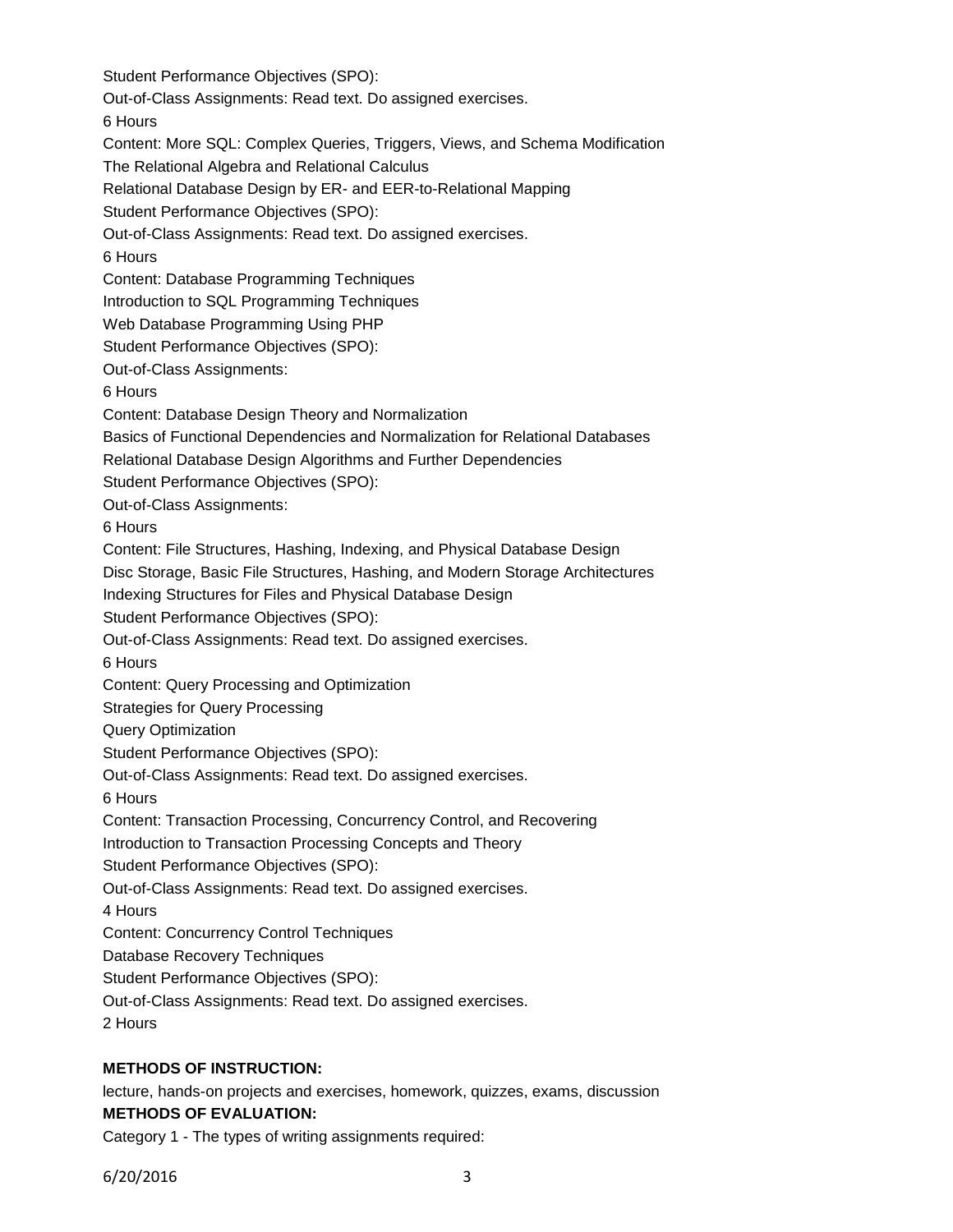Student Performance Objectives (SPO): Out-of-Class Assignments: Read text. Do assigned exercises. 6 Hours Content: More SQL: Complex Queries, Triggers, Views, and Schema Modification The Relational Algebra and Relational Calculus Relational Database Design by ER- and EER-to-Relational Mapping Student Performance Objectives (SPO): Out-of-Class Assignments: Read text. Do assigned exercises. 6 Hours Content: Database Programming Techniques Introduction to SQL Programming Techniques Web Database Programming Using PHP Student Performance Objectives (SPO): Out-of-Class Assignments: 6 Hours Content: Database Design Theory and Normalization Basics of Functional Dependencies and Normalization for Relational Databases Relational Database Design Algorithms and Further Dependencies Student Performance Objectives (SPO): Out-of-Class Assignments: 6 Hours Content: File Structures, Hashing, Indexing, and Physical Database Design Disc Storage, Basic File Structures, Hashing, and Modern Storage Architectures Indexing Structures for Files and Physical Database Design Student Performance Objectives (SPO): Out-of-Class Assignments: Read text. Do assigned exercises. 6 Hours Content: Query Processing and Optimization Strategies for Query Processing Query Optimization Student Performance Objectives (SPO): Out-of-Class Assignments: Read text. Do assigned exercises. 6 Hours Content: Transaction Processing, Concurrency Control, and Recovering Introduction to Transaction Processing Concepts and Theory Student Performance Objectives (SPO): Out-of-Class Assignments: Read text. Do assigned exercises. 4 Hours Content: Concurrency Control Techniques Database Recovery Techniques Student Performance Objectives (SPO): Out-of-Class Assignments: Read text. Do assigned exercises. 2 Hours

## **METHODS OF INSTRUCTION:**

lecture, hands-on projects and exercises, homework, quizzes, exams, discussion **METHODS OF EVALUATION:**

Category 1 - The types of writing assignments required: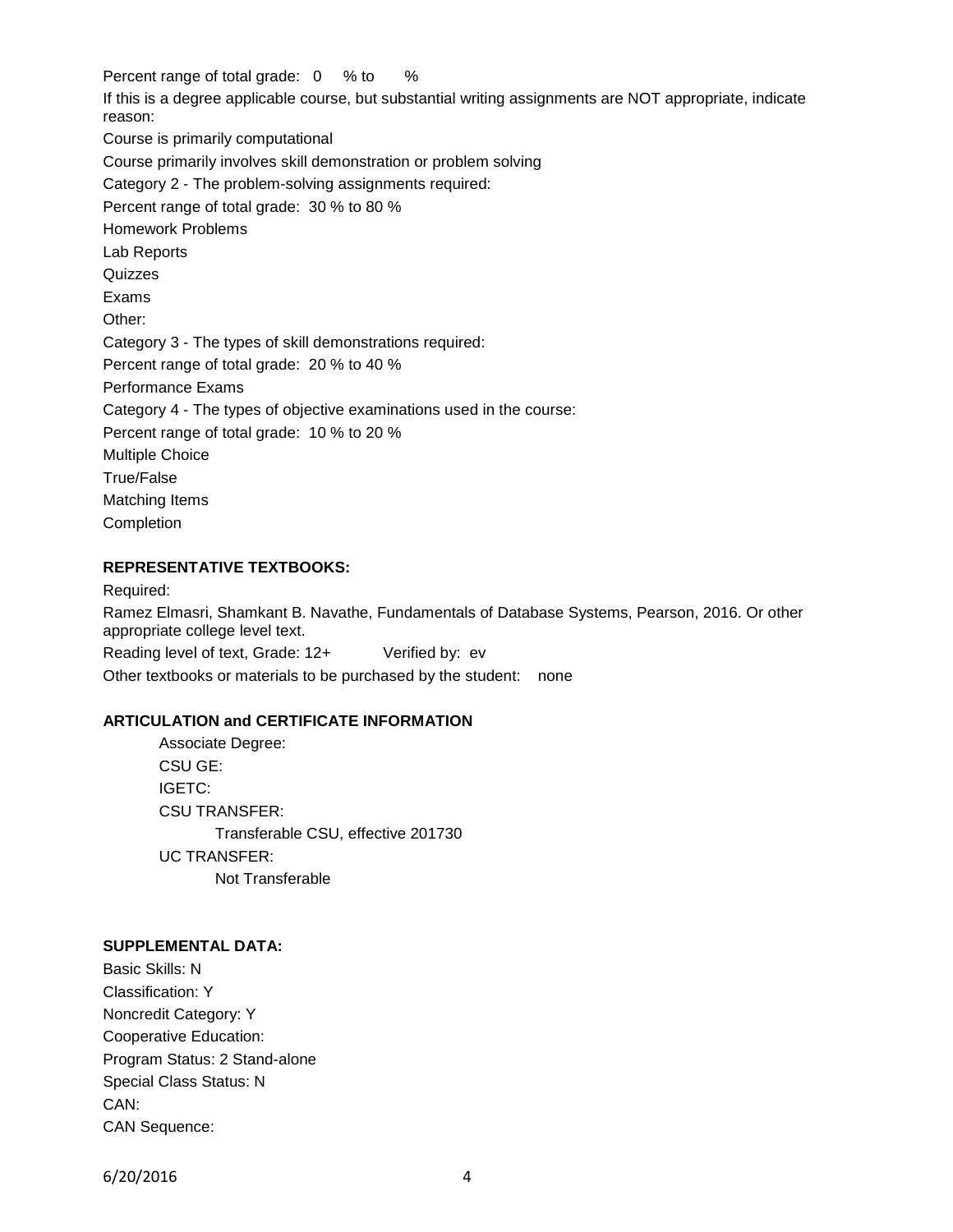Percent range of total grade: 0 % to %

If this is a degree applicable course, but substantial writing assignments are NOT appropriate, indicate reason:

Course is primarily computational

Course primarily involves skill demonstration or problem solving

Category 2 - The problem-solving assignments required:

Percent range of total grade: 30 % to 80 %

Homework Problems

Lab Reports

Quizzes

Exams

Other:

Category 3 - The types of skill demonstrations required:

Percent range of total grade: 20 % to 40 %

Performance Exams

Category 4 - The types of objective examinations used in the course:

Percent range of total grade: 10 % to 20 %

Multiple Choice

True/False

Matching Items

Completion

## **REPRESENTATIVE TEXTBOOKS:**

Required: Ramez Elmasri, Shamkant B. Navathe, Fundamentals of Database Systems, Pearson, 2016. Or other appropriate college level text.

Reading level of text, Grade: 12+ Verified by: ev Other textbooks or materials to be purchased by the student: none

# **ARTICULATION and CERTIFICATE INFORMATION**

Associate Degree: CSU GE: IGETC: CSU TRANSFER: Transferable CSU, effective 201730 UC TRANSFER: Not Transferable

# **SUPPLEMENTAL DATA:**

Basic Skills: N Classification: Y Noncredit Category: Y Cooperative Education: Program Status: 2 Stand-alone Special Class Status: N CAN: CAN Sequence:

6/20/2016 4